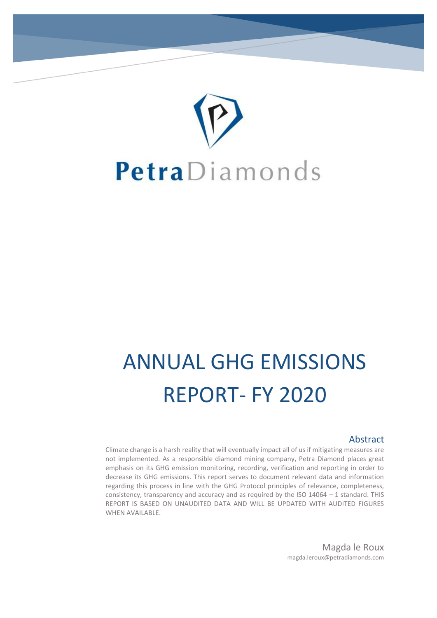

# ANNUAL GHG EMISSIONS REPORT- FY 2020

#### Abstract

Climate change is a harsh reality that will eventually impact all of us if mitigating measures are not implemented. As a responsible diamond mining company, Petra Diamond places great emphasis on its GHG emission monitoring, recording, verification and reporting in order to decrease its GHG emissions. This report serves to document relevant data and information regarding this process in line with the GHG Protocol principles of relevance, completeness, consistency, transparency and accuracy and as required by the ISO 14064 – 1 standard. THIS REPORT IS BASED ON UNAUDITED DATA AND WILL BE UPDATED WITH AUDITED FIGURES WHEN AVAILABLE.

> Magda le Roux magda.leroux@petradiamonds.com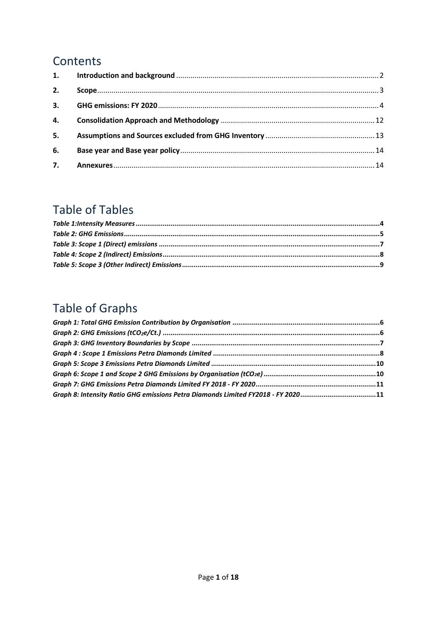## Contents

| 2. |  |
|----|--|
|    |  |
|    |  |
| 5. |  |
| 6. |  |
|    |  |

## **Table of Tables**

# Table of Graphs

| Graph 8: Intensity Ratio GHG emissions Petra Diamonds Limited FY2018 - FY 202011 |  |
|----------------------------------------------------------------------------------|--|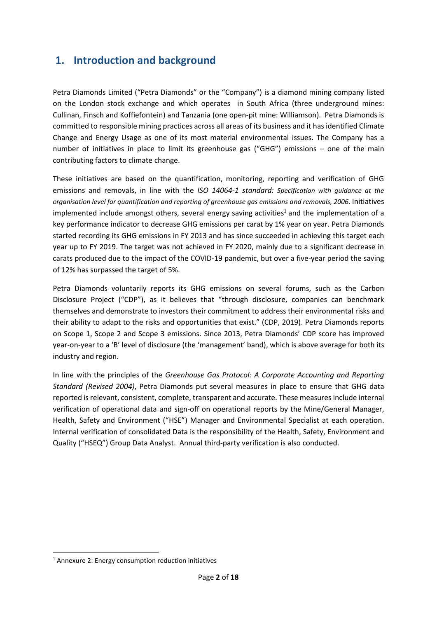## <span id="page-2-0"></span>**1. Introduction and background**

Petra Diamonds Limited ("Petra Diamonds" or the "Company") is a diamond mining company listed on the London stock exchange and which operates in South Africa (three underground mines: Cullinan, Finsch and Koffiefontein) and Tanzania (one open-pit mine: Williamson). Petra Diamonds is committed to responsible mining practices across all areas of its business and it has identified Climate Change and Energy Usage as one of its most material environmental issues. The Company has a number of initiatives in place to limit its greenhouse gas ("GHG") emissions – one of the main contributing factors to climate change.

These initiatives are based on the quantification, monitoring, reporting and verification of GHG emissions and removals, in line with the *ISO 14064-1 standard: Specification with guidance at the organisation level for quantification and reporting of greenhouse gas emissions and removals, 2006*. Initiatives implemented include amongst others, several energy saving activities<sup>1</sup> and the implementation of a key performance indicator to decrease GHG emissions per carat by 1% year on year. Petra Diamonds started recording its GHG emissions in FY 2013 and has since succeeded in achieving this target each year up to FY 2019. The target was not achieved in FY 2020, mainly due to a significant decrease in carats produced due to the impact of the COVID-19 pandemic, but over a five-year period the saving of 12% has surpassed the target of 5%.

Petra Diamonds voluntarily reports its GHG emissions on several forums, such as the Carbon Disclosure Project ("CDP"), as it believes that "through disclosure, companies can benchmark themselves and demonstrate to investors their commitment to address their environmental risks and their ability to adapt to the risks and opportunities that exist." (CDP, 2019). Petra Diamonds reports on Scope 1, Scope 2 and Scope 3 emissions. Since 2013, Petra Diamonds' CDP score has improved year-on-year to a 'B' level of disclosure (the 'management' band), which is above average for both its industry and region.

<span id="page-2-1"></span>In line with the principles of the *Greenhouse Gas Protocol: A Corporate Accounting and Reporting Standard (Revised 2004)*, Petra Diamonds put several measures in place to ensure that GHG data reported is relevant, consistent, complete, transparent and accurate. These measures include internal verification of operational data and sign-off on operational reports by the Mine/General Manager, Health, Safety and Environment ("HSE") Manager and Environmental Specialist at each operation. Internal verification of consolidated Data is the responsibility of the Health, Safety, Environment and Quality ("HSEQ") Group Data Analyst. Annual third-party verification is also conducted.

**.** 

<sup>1</sup> Annexure 2: Energy consumption reduction initiatives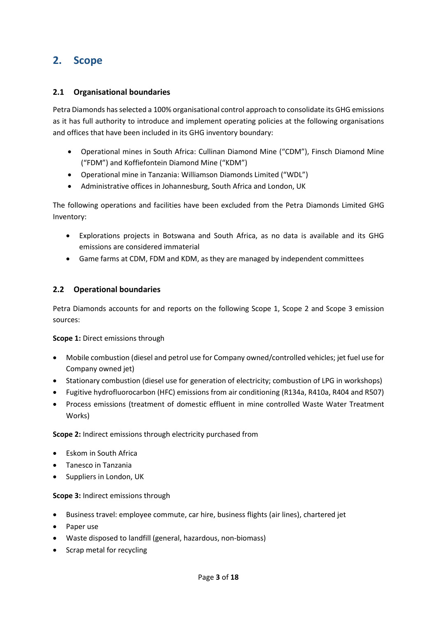## **2. Scope**

#### **2.1 Organisational boundaries**

Petra Diamonds has selected a 100% organisational control approach to consolidate its GHG emissions as it has full authority to introduce and implement operating policies at the following organisations and offices that have been included in its GHG inventory boundary:

- Operational mines in South Africa: Cullinan Diamond Mine ("CDM"), Finsch Diamond Mine ("FDM") and Koffiefontein Diamond Mine ("KDM")
- Operational mine in Tanzania: Williamson Diamonds Limited ("WDL")
- Administrative offices in Johannesburg, South Africa and London, UK

The following operations and facilities have been excluded from the Petra Diamonds Limited GHG Inventory:

- Explorations projects in Botswana and South Africa, as no data is available and its GHG emissions are considered immaterial
- Game farms at CDM, FDM and KDM, as they are managed by independent committees

#### **2.2 Operational boundaries**

Petra Diamonds accounts for and reports on the following Scope 1, Scope 2 and Scope 3 emission sources:

**Scope 1:** Direct emissions through

- Mobile combustion (diesel and petrol use for Company owned/controlled vehicles; jet fuel use for Company owned jet)
- Stationary combustion (diesel use for generation of electricity; combustion of LPG in workshops)
- Fugitive hydrofluorocarbon (HFC) emissions from air conditioning (R134a, R410a, R404 and R507)
- Process emissions (treatment of domestic effluent in mine controlled Waste Water Treatment Works)

**Scope 2:** Indirect emissions through electricity purchased from

- Eskom in South Africa
- Tanesco in Tanzania
- Suppliers in London, UK

#### **Scope 3:** Indirect emissions through

- Business travel: employee commute, car hire, business flights (air lines), chartered jet
- Paper use
- Waste disposed to landfill (general, hazardous, non-biomass)
- Scrap metal for recycling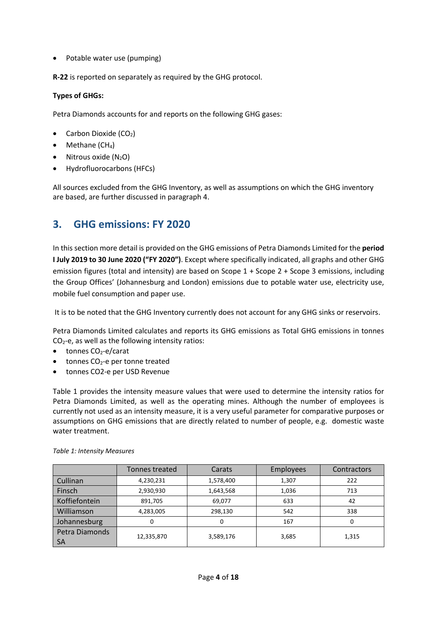• Potable water use (pumping)

**R-22** is reported on separately as required by the GHG protocol.

#### **Types of GHGs:**

Petra Diamonds accounts for and reports on the following GHG gases:

- Carbon Dioxide  $(CO<sub>2</sub>)$
- $\bullet$  Methane (CH<sub>4</sub>)
- $\bullet$  Nitrous oxide (N<sub>2</sub>O)
- Hydrofluorocarbons (HFCs)

All sources excluded from the GHG Inventory, as well as assumptions on which the GHG inventory are based, are further discussed in paragraph 4.

## <span id="page-4-0"></span>**3. GHG emissions: FY 2020**

In this section more detail is provided on the GHG emissions of Petra Diamonds Limited for the **period I July 2019 to 30 June 2020 ("FY 2020")**. Except where specifically indicated, all graphs and other GHG emission figures (total and intensity) are based on Scope 1 + Scope 2 + Scope 3 emissions, including the Group Offices' (Johannesburg and London) emissions due to potable water use, electricity use, mobile fuel consumption and paper use.

It is to be noted that the GHG Inventory currently does not account for any GHG sinks or reservoirs.

Petra Diamonds Limited calculates and reports its GHG emissions as Total GHG emissions in tonnes  $CO<sub>2</sub>$ -e, as well as the following intensity ratios:

- $\bullet$  tonnes CO<sub>2</sub>-e/carat
- $\bullet$  tonnes CO<sub>2</sub>-e per tonne treated
- tonnes CO2-e per USD Revenue

Table 1 provides the intensity measure values that were used to determine the intensity ratios for Petra Diamonds Limited, as well as the operating mines. Although the number of employees is currently not used as an intensity measure, it is a very useful parameter for comparative purposes or assumptions on GHG emissions that are directly related to number of people, e.g. domestic waste water treatment.

|                             | Tonnes treated | Carats    | <b>Employees</b> | Contractors |
|-----------------------------|----------------|-----------|------------------|-------------|
| Cullinan                    | 4,230,231      | 1,578,400 | 1,307            | 222         |
| Finsch                      | 2,930,930      | 1,643,568 | 1,036            | 713         |
| Koffiefontein               | 891,705        | 69,077    | 633              | 42          |
| Williamson                  | 4,283,005      | 298,130   | 542              | 338         |
| Johannesburg                | O              | 0         | 167              | 0           |
| Petra Diamonds<br><b>SA</b> | 12,335,870     | 3,589,176 | 3,685            | 1,315       |

#### <span id="page-4-1"></span>*Table 1: Intensity Measures*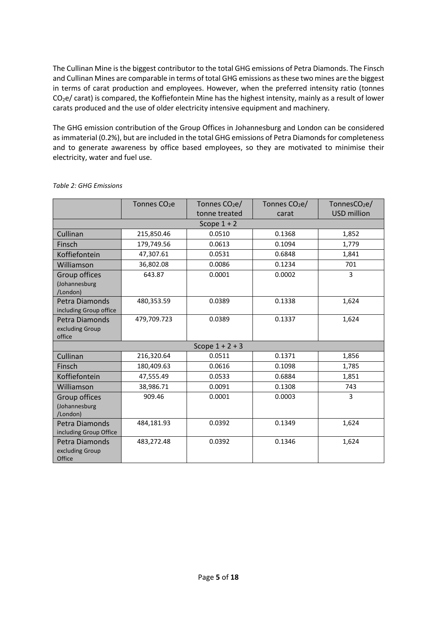The Cullinan Mine is the biggest contributor to the total GHG emissions of Petra Diamonds. The Finsch and Cullinan Mines are comparable in terms of total GHG emissions as these two mines are the biggest in terms of carat production and employees. However, when the preferred intensity ratio (tonnes  $CO<sub>2</sub>e/$  carat) is compared, the Koffiefontein Mine has the highest intensity, mainly as a result of lower carats produced and the use of older electricity intensive equipment and machinery.

The GHG emission contribution of the Group Offices in Johannesburg and London can be considered as immaterial (0.2%), but are included in the total GHG emissions of Petra Diamonds for completeness and to generate awareness by office based employees, so they are motivated to minimise their electricity, water and fuel use.

<span id="page-5-1"></span>

|                                             | Tonnes CO <sub>2</sub> e | Tonnes $CO2e/$    | Tonnes CO <sub>2</sub> e/ | Tonnes $CO2e/$     |
|---------------------------------------------|--------------------------|-------------------|---------------------------|--------------------|
|                                             |                          | tonne treated     | carat                     | <b>USD million</b> |
|                                             |                          | Scope $1 + 2$     |                           |                    |
| Cullinan                                    | 215,850.46               | 0.0510            | 0.1368                    | 1,852              |
| Finsch                                      | 179,749.56               | 0.0613            | 0.1094                    | 1,779              |
| Koffiefontein                               | 47,307.61                | 0.0531            | 0.6848                    | 1,841              |
| Williamson                                  | 36,802.08                | 0.0086            | 0.1234                    | 701                |
| Group offices<br>(Johannesburg<br>/London)  | 643.87                   | 0.0001            | 0.0002                    | 3                  |
| Petra Diamonds<br>including Group office    | 480,353.59               | 0.0389            | 0.1338                    | 1,624              |
| Petra Diamonds<br>excluding Group<br>office | 479,709.723              | 0.0389            | 0.1337                    | 1,624              |
|                                             |                          | Scope $1 + 2 + 3$ |                           |                    |
| Cullinan                                    | 216,320.64               | 0.0511            | 0.1371                    | 1,856              |
| Finsch                                      | 180,409.63               | 0.0616            | 0.1098                    | 1,785              |
| Koffiefontein                               | 47,555.49                | 0.0533            | 0.6884                    | 1,851              |
| Williamson                                  | 38,986.71                | 0.0091            | 0.1308                    | 743                |
| Group offices<br>(Johannesburg<br>/London)  | 909.46                   | 0.0001            | 0.0003                    | 3                  |
| Petra Diamonds<br>including Group Office    | 484,181.93               | 0.0392            | 0.1349                    | 1,624              |
| Petra Diamonds<br>excluding Group<br>Office | 483,272.48               | 0.0392            | 0.1346                    | 1,624              |

#### <span id="page-5-0"></span>*Table 2: GHG Emissions*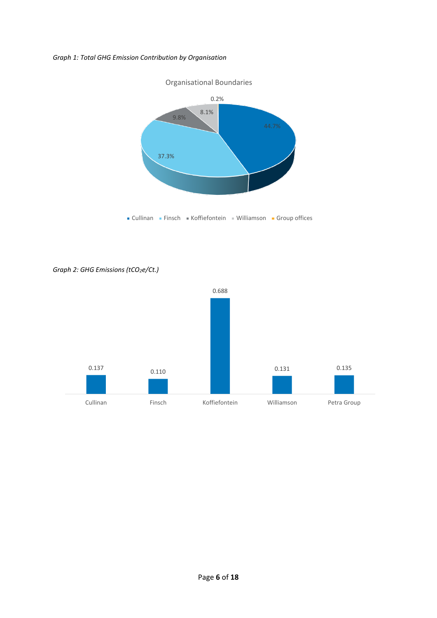#### *Graph 1: Total GHG Emission Contribution by Organisation*



<span id="page-6-0"></span>*Graph 2: GHG Emissions (tCO2e/Ct.)*

<span id="page-6-1"></span>

#### Page **6** of **18**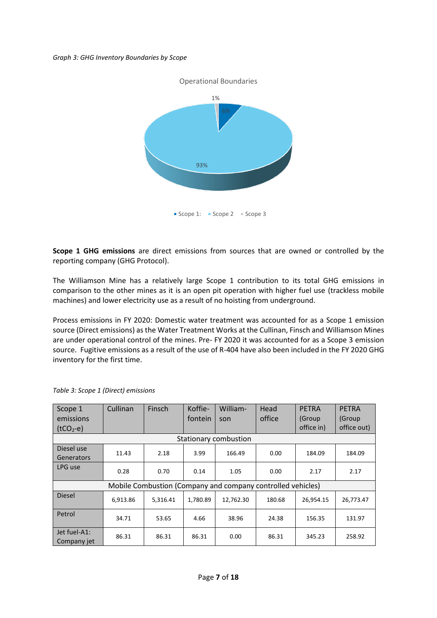#### *Graph 3: GHG Inventory Boundaries by Scope*



**Scope 1 GHG emissions** are direct emissions from sources that are owned or controlled by the reporting company (GHG Protocol).

The Williamson Mine has a relatively large Scope 1 contribution to its total GHG emissions in comparison to the other mines as it is an open pit operation with higher fuel use (trackless mobile machines) and lower electricity use as a result of no hoisting from underground.

Process emissions in FY 2020: Domestic water treatment was accounted for as a Scope 1 emission source (Direct emissions) as the Water Treatment Works at the Cullinan, Finsch and Williamson Mines are under operational control of the mines. Pre- FY 2020 it was accounted for as a Scope 3 emission source. Fugitive emissions as a result of the use of R-404 have also been included in the FY 2020 GHG inventory for the first time.

| Scope 1<br>emissions                                        | Cullinan | Finsch   | Koffie-<br>fontein | William-<br>son       | Head<br>office | <b>PETRA</b><br>(Group | <b>PETRA</b><br>(Group |
|-------------------------------------------------------------|----------|----------|--------------------|-----------------------|----------------|------------------------|------------------------|
| $(tCO2-e)$                                                  |          |          |                    |                       |                | office in)             | office out)            |
|                                                             |          |          |                    | Stationary combustion |                |                        |                        |
| Diesel use<br>Generators                                    | 11.43    | 2.18     | 3.99               | 166.49                | 0.00           | 184.09                 | 184.09                 |
| LPG use                                                     | 0.28     | 0.70     | 0.14               | 1.05                  | 0.00           | 2.17                   | 2.17                   |
| Mobile Combustion (Company and company controlled vehicles) |          |          |                    |                       |                |                        |                        |
| <b>Diesel</b>                                               | 6,913.86 | 5,316.41 | 1.780.89           | 12,762.30             | 180.68         | 26,954.15              | 26,773.47              |
| Petrol                                                      | 34.71    | 53.65    | 4.66               | 38.96                 | 24.38          | 156.35                 | 131.97                 |
| Jet fuel-A1:<br>Company jet                                 | 86.31    | 86.31    | 86.31              | 0.00                  | 86.31          | 345.23                 | 258.92                 |

<span id="page-7-0"></span>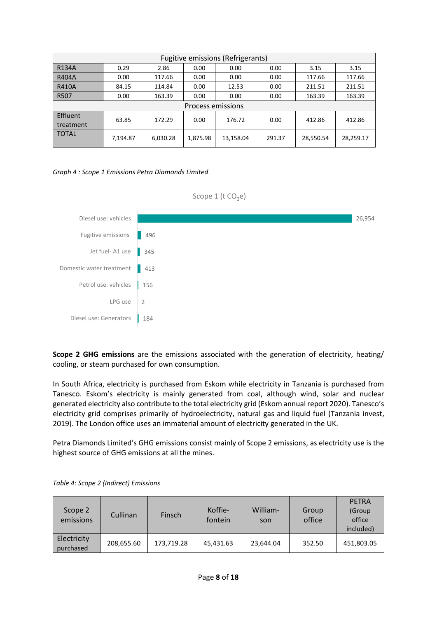|                          |          |          |          | <b>Fugitive emissions (Refrigerants)</b> |        |           |           |
|--------------------------|----------|----------|----------|------------------------------------------|--------|-----------|-----------|
| <b>R134A</b>             | 0.29     | 2.86     | 0.00     | 0.00                                     | 0.00   | 3.15      | 3.15      |
| <b>R404A</b>             | 0.00     | 117.66   | 0.00     | 0.00                                     | 0.00   | 117.66    | 117.66    |
| <b>R410A</b>             | 84.15    | 114.84   | 0.00     | 12.53                                    | 0.00   | 211.51    | 211.51    |
| R507                     | 0.00     | 163.39   | 0.00     | 0.00                                     | 0.00   | 163.39    | 163.39    |
| <b>Process emissions</b> |          |          |          |                                          |        |           |           |
| Effluent<br>treatment    | 63.85    | 172.29   | 0.00     | 176.72                                   | 0.00   | 412.86    | 412.86    |
| <b>TOTAL</b>             | 7,194.87 | 6,030.28 | 1,875.98 | 13,158.04                                | 291.37 | 28,550.54 | 28,259.17 |

#### <span id="page-8-1"></span>*Graph 4 : Scope 1 Emissions Petra Diamonds Limited*



**Scope 2 GHG emissions** are the emissions associated with the generation of electricity, heating/ cooling, or steam purchased for own consumption.

In South Africa, electricity is purchased from Eskom while electricity in Tanzania is purchased from Tanesco. Eskom's electricity is mainly generated from coal, although wind, solar and nuclear generated electricity also contribute to the total electricity grid (Eskom annual report 2020). Tanesco's electricity grid comprises primarily of hydroelectricity, natural gas and liquid fuel (Tanzania invest, 2019). The London office uses an immaterial amount of electricity generated in the UK.

Petra Diamonds Limited's GHG emissions consist mainly of Scope 2 emissions, as electricity use is the highest source of GHG emissions at all the mines.

| Scope 2<br>emissions     | Cullinan   | <b>Finsch</b> | Koffie-<br>fontein | William-<br>son | Group<br>office | <b>PETRA</b><br>(Group<br>office<br>included) |
|--------------------------|------------|---------------|--------------------|-----------------|-----------------|-----------------------------------------------|
| Electricity<br>purchased | 208,655.60 | 173,719.28    | 45,431.63          | 23,644.04       | 352.50          | 451,803.05                                    |

<span id="page-8-0"></span>*Table 4: Scope 2 (Indirect) Emissions*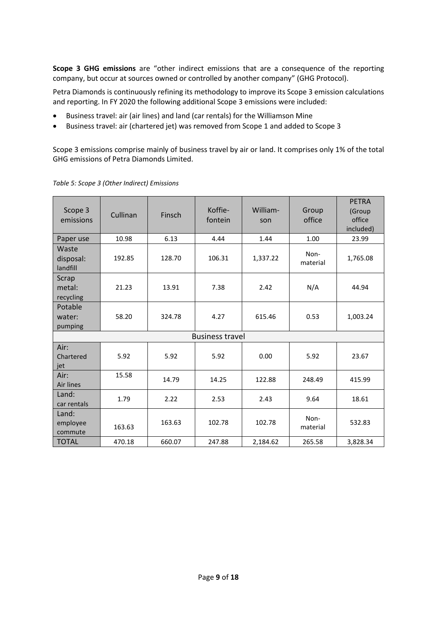**Scope 3 GHG emissions** are "other indirect emissions that are a consequence of the reporting company, but occur at sources owned or controlled by another company" (GHG Protocol).

Petra Diamonds is continuously refining its methodology to improve its Scope 3 emission calculations and reporting. In FY 2020 the following additional Scope 3 emissions were included:

- Business travel: air (air lines) and land (car rentals) for the Williamson Mine
- Business travel: air (chartered jet) was removed from Scope 1 and added to Scope 3

Scope 3 emissions comprise mainly of business travel by air or land. It comprises only 1% of the total GHG emissions of Petra Diamonds Limited.

<span id="page-9-1"></span>

| Scope 3<br>emissions           | Cullinan | Finsch | Koffie-<br>fontein     | William-<br>son | Group<br>office  | <b>PETRA</b><br>(Group<br>office<br>included) |
|--------------------------------|----------|--------|------------------------|-----------------|------------------|-----------------------------------------------|
| Paper use                      | 10.98    | 6.13   | 4.44                   | 1.44            | 1.00             | 23.99                                         |
| Waste<br>disposal:<br>landfill | 192.85   | 128.70 | 106.31                 | 1,337.22        | Non-<br>material | 1,765.08                                      |
| Scrap<br>metal:<br>recycling   | 21.23    | 13.91  | 7.38                   | 2.42            | N/A              | 44.94                                         |
| Potable<br>water:<br>pumping   | 58.20    | 324.78 | 4.27                   | 615.46          | 0.53             | 1,003.24                                      |
|                                |          |        | <b>Business travel</b> |                 |                  |                                               |
| Air:<br>Chartered<br>jet       | 5.92     | 5.92   | 5.92                   | 0.00            | 5.92             | 23.67                                         |
| Air:<br>Air lines              | 15.58    | 14.79  | 14.25                  | 122.88          | 248.49           | 415.99                                        |
| Land:<br>car rentals           | 1.79     | 2.22   | 2.53                   | 2.43            | 9.64             | 18.61                                         |
| Land:<br>employee<br>commute   | 163.63   | 163.63 | 102.78                 | 102.78          | Non-<br>material | 532.83                                        |
| <b>TOTAL</b>                   | 470.18   | 660.07 | 247.88                 | 2,184.62        | 265.58           | 3,828.34                                      |

<span id="page-9-0"></span>*Table 5: Scope 3 (Other Indirect) Emissions*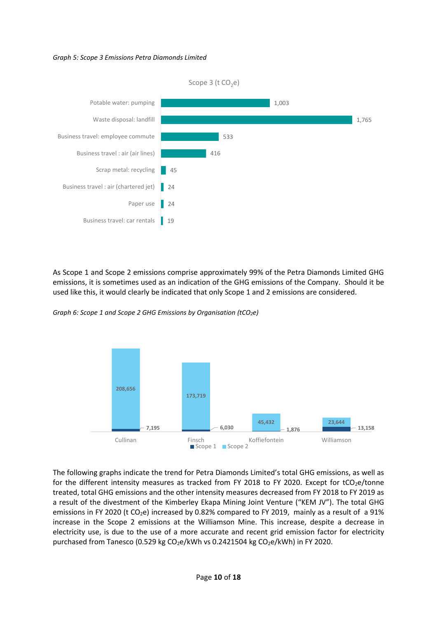#### *Graph 5: Scope 3 Emissions Petra Diamonds Limited*



As Scope 1 and Scope 2 emissions comprise approximately 99% of the Petra Diamonds Limited GHG emissions, it is sometimes used as an indication of the GHG emissions of the Company. Should it be used like this, it would clearly be indicated that only Scope 1 and 2 emissions are considered.

<span id="page-10-0"></span>



The following graphs indicate the trend for Petra Diamonds Limited's total GHG emissions, as well as for the different intensity measures as tracked from FY 2018 to FY 2020. Except for tCO<sub>2</sub>e/tonne treated, total GHG emissions and the other intensity measures decreased from FY 2018 to FY 2019 as a result of the divestment of the Kimberley Ekapa Mining Joint Venture ("KEM JV"). The total GHG emissions in FY 2020 (t CO<sub>2</sub>e) increased by 0.82% compared to FY 2019, mainly as a result of a 91% increase in the Scope 2 emissions at the Williamson Mine. This increase, despite a decrease in electricity use, is due to the use of a more accurate and recent grid emission factor for electricity purchased from Tanesco (0.529 kg CO<sub>2</sub>e/kWh vs 0.2421504 kg CO<sub>2</sub>e/kWh) in FY 2020.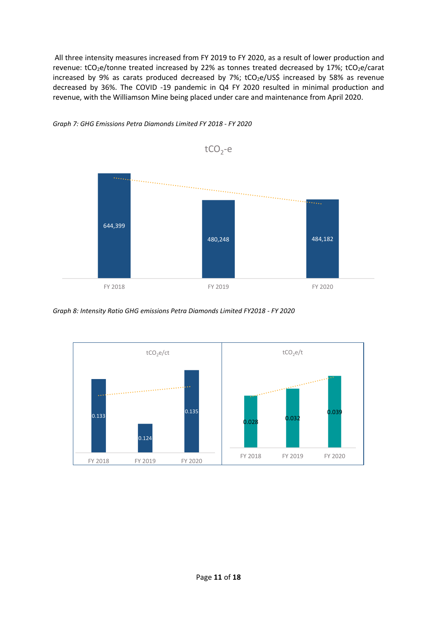All three intensity measures increased from FY 2019 to FY 2020, as a result of lower production and revenue: tCO<sub>2</sub>e/tonne treated increased by 22% as tonnes treated decreased by 17%; tCO<sub>2</sub>e/carat increased by 9% as carats produced decreased by 7%; tCO<sub>2</sub>e/US\$ increased by 58% as revenue decreased by 36%. The COVID -19 pandemic in Q4 FY 2020 resulted in minimal production and revenue, with the Williamson Mine being placed under care and maintenance from April 2020.



<span id="page-11-0"></span>*Graph 7: GHG Emissions Petra Diamonds Limited FY 2018 - FY 2020*

<span id="page-11-1"></span>*Graph 8: Intensity Ratio GHG emissions Petra Diamonds Limited FY2018 - FY 2020*

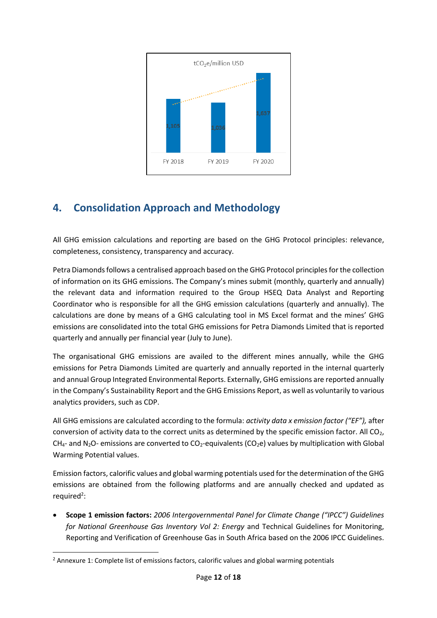

## <span id="page-12-0"></span>**4. Consolidation Approach and Methodology**

All GHG emission calculations and reporting are based on the GHG Protocol principles: relevance, completeness, consistency, transparency and accuracy.

Petra Diamonds follows a centralised approach based on the GHG Protocol principles for the collection of information on its GHG emissions. The Company's mines submit (monthly, quarterly and annually) the relevant data and information required to the Group HSEQ Data Analyst and Reporting Coordinator who is responsible for all the GHG emission calculations (quarterly and annually). The calculations are done by means of a GHG calculating tool in MS Excel format and the mines' GHG emissions are consolidated into the total GHG emissions for Petra Diamonds Limited that is reported quarterly and annually per financial year (July to June).

The organisational GHG emissions are availed to the different mines annually, while the GHG emissions for Petra Diamonds Limited are quarterly and annually reported in the internal quarterly and annual Group Integrated Environmental Reports. Externally, GHG emissions are reported annually in the Company's Sustainability Report and the GHG Emissions Report, as well as voluntarily to various analytics providers, such as CDP.

All GHG emissions are calculated according to the formula: *activity data x emission factor ("EF"),* after conversion of activity data to the correct units as determined by the specific emission factor. All CO<sub>2</sub>,  $CH_{4}$ - and N<sub>2</sub>O- emissions are converted to CO<sub>2</sub>-equivalents (CO<sub>2</sub>e) values by multiplication with Global Warming Potential values.

Emission factors, calorific values and global warming potentials used for the determination of the GHG emissions are obtained from the following platforms and are annually checked and updated as required<sup>2</sup>:

 **Scope 1 emission factors:** *2006 Intergovernmental Panel for Climate Change ("IPCC") Guidelines for National Greenhouse Gas Inventory Vol 2: Energy* and Technical Guidelines for Monitoring, Reporting and Verification of Greenhouse Gas in South Africa based on the 2006 IPCC Guidelines.

**<sup>.</sup>**  $<sup>2</sup>$  Annexure 1: Complete list of emissions factors, calorific values and global warming potentials</sup>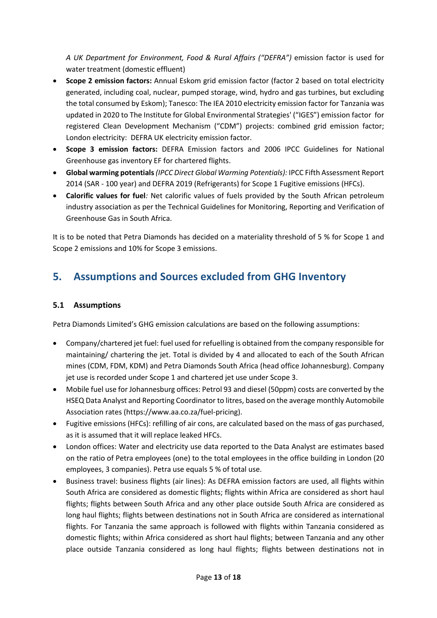*A UK Department for Environment, Food & Rural Affairs ("DEFRA")* emission factor is used for water treatment (domestic effluent)

- **Scope 2 emission factors:** Annual Eskom grid emission factor (factor 2 based on total electricity generated, including coal, nuclear, pumped storage, wind, hydro and gas turbines, but excluding the total consumed by Eskom); Tanesco: The IEA 2010 electricity emission factor for Tanzania was updated in 2020 to The Institute for Global Environmental Strategies' ("IGES") emission factor for registered Clean Development Mechanism ("CDM") projects: combined grid emission factor; London electricity: DEFRA UK electricity emission factor.
- **Scope 3 emission factors:** DEFRA Emission factors and 2006 IPCC Guidelines for National Greenhouse gas inventory EF for chartered flights.
- **Global warming potentials***(IPCC Direct Global Warming Potentials):* IPCC Fifth Assessment Report 2014 (SAR - 100 year) and DEFRA 2019 (Refrigerants) for Scope 1 Fugitive emissions (HFCs).
- **Calorific values for fuel***:* Net calorific values of fuels provided by the South African petroleum industry association as per the Technical Guidelines for Monitoring, Reporting and Verification of Greenhouse Gas in South Africa.

It is to be noted that Petra Diamonds has decided on a materiality threshold of 5 % for Scope 1 and Scope 2 emissions and 10% for Scope 3 emissions.

## <span id="page-13-0"></span>**5. Assumptions and Sources excluded from GHG Inventory**

#### **5.1 Assumptions**

Petra Diamonds Limited's GHG emission calculations are based on the following assumptions:

- Company/chartered jet fuel: fuel used for refuelling is obtained from the company responsible for maintaining/ chartering the jet. Total is divided by 4 and allocated to each of the South African mines (CDM, FDM, KDM) and Petra Diamonds South Africa (head office Johannesburg). Company jet use is recorded under Scope 1 and chartered jet use under Scope 3.
- Mobile fuel use for Johannesburg offices: Petrol 93 and diesel (50ppm) costs are converted by the HSEQ Data Analyst and Reporting Coordinator to litres, based on the average monthly Automobile Association rates (https://www.aa.co.za/fuel-pricing).
- Fugitive emissions (HFCs): refilling of air cons, are calculated based on the mass of gas purchased, as it is assumed that it will replace leaked HFCs.
- London offices: Water and electricity use data reported to the Data Analyst are estimates based on the ratio of Petra employees (one) to the total employees in the office building in London (20 employees, 3 companies). Petra use equals 5 % of total use.
- Business travel: business flights (air lines): As DEFRA emission factors are used, all flights within South Africa are considered as domestic flights; flights within Africa are considered as short haul flights; flights between South Africa and any other place outside South Africa are considered as long haul flights; flights between destinations not in South Africa are considered as international flights. For Tanzania the same approach is followed with flights within Tanzania considered as domestic flights; within Africa considered as short haul flights; between Tanzania and any other place outside Tanzania considered as long haul flights; flights between destinations not in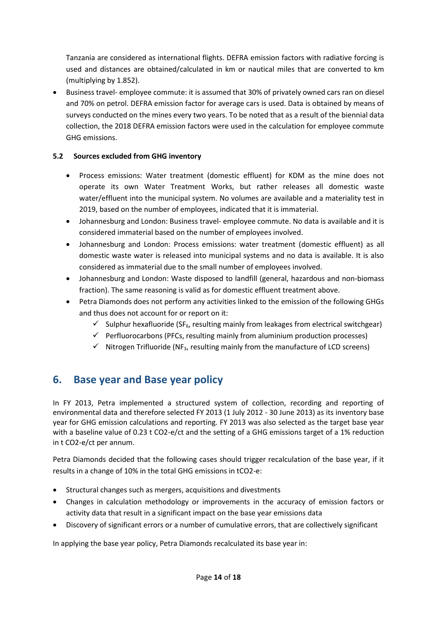Tanzania are considered as international flights. DEFRA emission factors with radiative forcing is used and distances are obtained/calculated in km or nautical miles that are converted to km (multiplying by 1.852).

 Business travel- employee commute: it is assumed that 30% of privately owned cars ran on diesel and 70% on petrol. DEFRA emission factor for average cars is used. Data is obtained by means of surveys conducted on the mines every two years. To be noted that as a result of the biennial data collection, the 2018 DEFRA emission factors were used in the calculation for employee commute GHG emissions.

#### **5.2 Sources excluded from GHG inventory**

- Process emissions: Water treatment (domestic effluent) for KDM as the mine does not operate its own Water Treatment Works, but rather releases all domestic waste water/effluent into the municipal system. No volumes are available and a materiality test in 2019, based on the number of employees, indicated that it is immaterial.
- Johannesburg and London: Business travel- employee commute. No data is available and it is considered immaterial based on the number of employees involved.
- Johannesburg and London: Process emissions: water treatment (domestic effluent) as all domestic waste water is released into municipal systems and no data is available. It is also considered as immaterial due to the small number of employees involved.
- Johannesburg and London: Waste disposed to landfill (general, hazardous and non-biomass fraction). The same reasoning is valid as for domestic effluent treatment above.
- Petra Diamonds does not perform any activities linked to the emission of the following GHGs and thus does not account for or report on it:
	- $\checkmark$  Sulphur hexafluoride (SF<sub>6</sub>, resulting mainly from leakages from electrical switchgear)
	- $\checkmark$  Perfluorocarbons (PFCs, resulting mainly from aluminium production processes)
	- $\checkmark$  Nitrogen Trifluoride (NF<sub>3</sub>, resulting mainly from the manufacture of LCD screens)

## <span id="page-14-0"></span>**6. Base year and Base year policy**

In FY 2013, Petra implemented a structured system of collection, recording and reporting of environmental data and therefore selected FY 2013 (1 July 2012 - 30 June 2013) as its inventory base year for GHG emission calculations and reporting. FY 2013 was also selected as the target base year with a baseline value of 0.23 t CO2-e/ct and the setting of a GHG emissions target of a 1% reduction in t CO2-e/ct per annum.

Petra Diamonds decided that the following cases should trigger recalculation of the base year, if it results in a change of 10% in the total GHG emissions in tCO2-e:

- Structural changes such as mergers, acquisitions and divestments
- Changes in calculation methodology or improvements in the accuracy of emission factors or activity data that result in a significant impact on the base year emissions data
- Discovery of significant errors or a number of cumulative errors, that are collectively significant

In applying the base year policy, Petra Diamonds recalculated its base year in: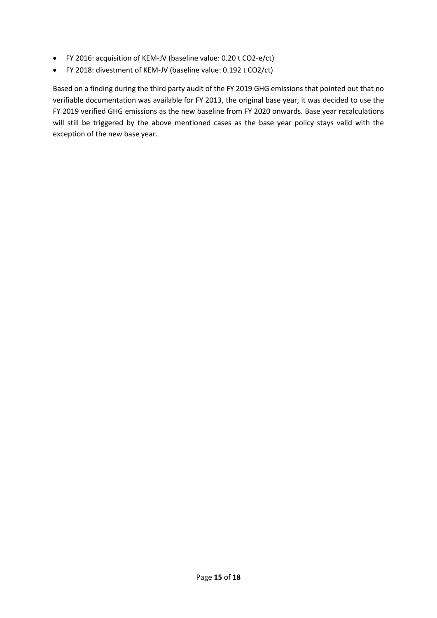- FY 2016: acquisition of KEM-JV (baseline value: 0.20 t CO2-e/ct)
- FY 2018: divestment of KEM-JV (baseline value: 0.192 t CO2/ct)

Based on a finding during the third party audit of the FY 2019 GHG emissions that pointed out that no verifiable documentation was available for FY 2013, the original base year, it was decided to use the FY 2019 verified GHG emissions as the new baseline from FY 2020 onwards. Base year recalculations will still be triggered by the above mentioned cases as the base year policy stays valid with the exception of the new base year.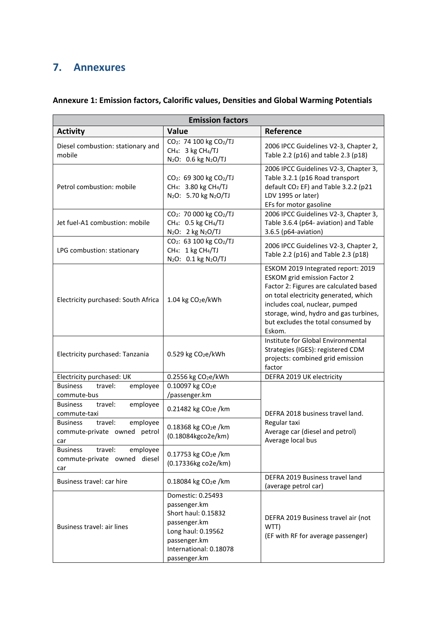## <span id="page-16-0"></span>**7. Annexures**

|                                                                               | <b>Emission factors</b>                                                                                                                                  |                                                                                                                                                                                                                                                                                          |
|-------------------------------------------------------------------------------|----------------------------------------------------------------------------------------------------------------------------------------------------------|------------------------------------------------------------------------------------------------------------------------------------------------------------------------------------------------------------------------------------------------------------------------------------------|
| <b>Activity</b>                                                               | Value                                                                                                                                                    | Reference                                                                                                                                                                                                                                                                                |
| Diesel combustion: stationary and<br>mobile                                   | CO <sub>2</sub> : 74 100 kg CO <sub>2</sub> /TJ<br>CH <sub>4</sub> : 3 kg CH <sub>4</sub> /TJ<br>N <sub>2</sub> O: 0.6 kg N <sub>2</sub> O/TJ            | 2006 IPCC Guidelines V2-3, Chapter 2,<br>Table 2.2 (p16) and table 2.3 (p18)                                                                                                                                                                                                             |
| Petrol combustion: mobile                                                     | CO <sub>2</sub> : 69 300 kg CO <sub>2</sub> /TJ<br>CH <sub>4</sub> : 3.80 kg CH <sub>4</sub> /TJ<br>N <sub>2</sub> O: 5.70 kg N <sub>2</sub> O/TJ        | 2006 IPCC Guidelines V2-3, Chapter 3,<br>Table 3.2.1 (p16 Road transport<br>default CO <sub>2</sub> EF) and Table 3.2.2 (p21<br>LDV 1995 or later)<br>EFs for motor gasoline                                                                                                             |
| Jet fuel-A1 combustion: mobile                                                | CO <sub>2</sub> : 70 000 kg CO <sub>2</sub> /TJ<br>CH <sub>4</sub> : 0.5 kg CH <sub>4</sub> /TJ<br>N <sub>2</sub> O: 2 kg N <sub>2</sub> O/TJ            | 2006 IPCC Guidelines V2-3, Chapter 3,<br>Table 3.6.4 (p64- aviation) and Table<br>3.6.5 (p64-aviation)                                                                                                                                                                                   |
| LPG combustion: stationary                                                    | CO <sub>2</sub> : 63 100 kg CO <sub>2</sub> /TJ<br>CH <sub>4</sub> : 1 kg CH <sub>4</sub> /TJ<br>N <sub>2</sub> O: 0.1 kg N <sub>2</sub> O/TJ            | 2006 IPCC Guidelines V2-3, Chapter 2,<br>Table 2.2 (p16) and Table 2.3 (p18)                                                                                                                                                                                                             |
| Electricity purchased: South Africa                                           | 1.04 kg CO <sub>2</sub> e/kWh                                                                                                                            | ESKOM 2019 Integrated report: 2019<br><b>ESKOM</b> grid emission Factor 2<br>Factor 2: Figures are calculated based<br>on total electricity generated, which<br>includes coal, nuclear, pumped<br>storage, wind, hydro and gas turbines,<br>but excludes the total consumed by<br>Eskom. |
| Electricity purchased: Tanzania                                               | 0.529 kg CO <sub>2</sub> e/kWh                                                                                                                           | Institute for Global Environmental<br>Strategies (IGES): registered CDM<br>projects: combined grid emission<br>factor                                                                                                                                                                    |
| Electricity purchased: UK                                                     | 0.2556 kg CO <sub>2</sub> e/kWh                                                                                                                          | DEFRA 2019 UK electricity                                                                                                                                                                                                                                                                |
| <b>Business</b><br>employee<br>travel:<br>commute-bus                         | 0.10097 kg CO <sub>2</sub> e<br>/passenger.km                                                                                                            |                                                                                                                                                                                                                                                                                          |
| employee<br><b>Business</b><br>travel:<br>commute-taxi                        | 0.21482 kg CO <sub>2</sub> e /km                                                                                                                         | DEFRA 2018 business travel land.                                                                                                                                                                                                                                                         |
| <b>Business</b><br>travel:<br>employee<br>commute-private owned petrol<br>car | 0.18368 kg CO <sub>2</sub> e /km<br>(0.18084kgco2e/km)                                                                                                   | Regular taxi<br>Average car (diesel and petrol)<br>Average local bus                                                                                                                                                                                                                     |
| <b>Business</b><br>travel:<br>employee<br>commute-private owned diesel<br>car | 0.17753 kg CO <sub>2</sub> e /km<br>(0.17336kg co2e/km)                                                                                                  |                                                                                                                                                                                                                                                                                          |
| Business travel: car hire                                                     | 0.18084 kg CO <sub>2</sub> e /km                                                                                                                         | DEFRA 2019 Business travel land<br>(average petrol car)                                                                                                                                                                                                                                  |
| Business travel: air lines                                                    | Domestic: 0.25493<br>passenger.km<br>Short haul: 0.15832<br>passenger.km<br>Long haul: 0.19562<br>passenger.km<br>International: 0.18078<br>passenger.km | DEFRA 2019 Business travel air (not<br>WTT)<br>(EF with RF for average passenger)                                                                                                                                                                                                        |

#### **Annexure 1: Emission factors, Calorific values, Densities and Global Warming Potentials**

۳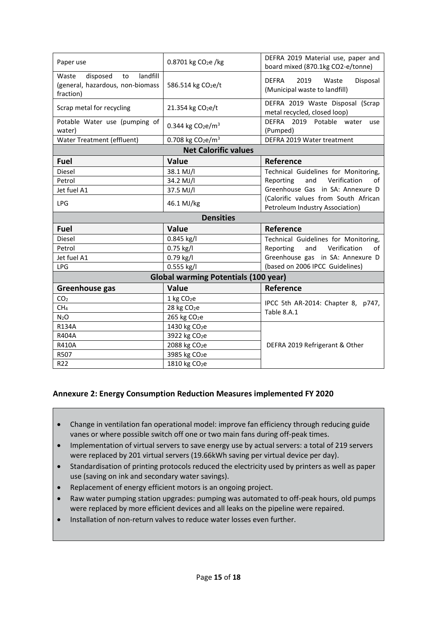| Paper use                                                                            | 0.8701 kg CO <sub>2</sub> e /kg             | DEFRA 2019 Material use, paper and<br>board mixed (870.1kg CO2-e/tonne)    |
|--------------------------------------------------------------------------------------|---------------------------------------------|----------------------------------------------------------------------------|
| landfill<br>disposed<br>Waste<br>to<br>(general, hazardous, non-biomass<br>fraction) | 586.514 kg CO <sub>2</sub> e/t              | <b>DEFRA</b><br>2019<br>Waste<br>Disposal<br>(Municipal waste to landfill) |
| Scrap metal for recycling                                                            | 21.354 kg CO <sub>2</sub> e/t               | DEFRA 2019 Waste Disposal (Scrap<br>metal recycled, closed loop)           |
| Potable Water use (pumping of<br>water)                                              | 0.344 kg $CO2e/m3$                          | DEFRA 2019 Potable water<br>use<br>(Pumped)                                |
| Water Treatment (effluent)                                                           | 0.708 kg $CO2e/m3$                          | DEFRA 2019 Water treatment                                                 |
|                                                                                      | <b>Net Calorific values</b>                 |                                                                            |
| <b>Fuel</b>                                                                          | Value                                       | Reference                                                                  |
| Diesel                                                                               | 38.1 MJ/l                                   | Technical Guidelines for Monitoring,                                       |
| Petrol                                                                               | 34.2 MJ/l                                   | Verification<br>Reporting<br>and<br>οf                                     |
| Jet fuel A1                                                                          | 37.5 MJ/l                                   | Greenhouse Gas in SA: Annexure D                                           |
| <b>LPG</b>                                                                           | 46.1 MJ/kg                                  | (Calorific values from South African<br>Petroleum Industry Association)    |
|                                                                                      | <b>Densities</b>                            |                                                                            |
|                                                                                      |                                             |                                                                            |
| <b>Fuel</b>                                                                          | Value                                       | Reference                                                                  |
| Diesel                                                                               | 0.845 kg/l                                  | Technical Guidelines for Monitoring,                                       |
| Petrol                                                                               | 0.75 kg/l                                   | Reporting<br>and<br>Verification<br>οf                                     |
| Jet fuel A1                                                                          | 0.79 kg/l                                   | Greenhouse gas in SA: Annexure D                                           |
| <b>LPG</b>                                                                           | 0.555 kg/l                                  | (based on 2006 IPCC Guidelines)                                            |
|                                                                                      | <b>Global warming Potentials (100 year)</b> |                                                                            |
| Greenhouse gas                                                                       | Value                                       | Reference                                                                  |
| CO <sub>2</sub>                                                                      | 1 kg CO <sub>2</sub> e                      |                                                                            |
| CH <sub>4</sub>                                                                      | 28 kg CO <sub>2</sub> e                     | IPCC 5th AR-2014: Chapter 8, p747,                                         |
| $N_2O$                                                                               | 265 kg CO <sub>2</sub> e                    | Table 8.A.1                                                                |
| <b>R134A</b>                                                                         | 1430 kg CO <sub>2</sub> e                   |                                                                            |
| R404A                                                                                | 3922 kg CO <sub>2</sub> e                   |                                                                            |
| <b>R410A</b>                                                                         | 2088 kg CO <sub>2</sub> e                   | DEFRA 2019 Refrigerant & Other                                             |
| R507                                                                                 | 3985 kg CO <sub>2</sub> e                   |                                                                            |

#### **Annexure 2: Energy Consumption Reduction Measures implemented FY 2020**

- Change in ventilation fan operational model: improve fan efficiency through reducing guide vanes or where possible switch off one or two main fans during off-peak times.
- Implementation of virtual servers to save energy use by actual servers: a total of 219 servers were replaced by 201 virtual servers (19.66kWh saving per virtual device per day).
- Standardisation of printing protocols reduced the electricity used by printers as well as paper use (saving on ink and secondary water savings).
- Replacement of energy efficient motors is an ongoing project.
- Raw water pumping station upgrades: pumping was automated to off-peak hours, old pumps were replaced by more efficient devices and all leaks on the pipeline were repaired.
- Installation of non-return valves to reduce water losses even further.